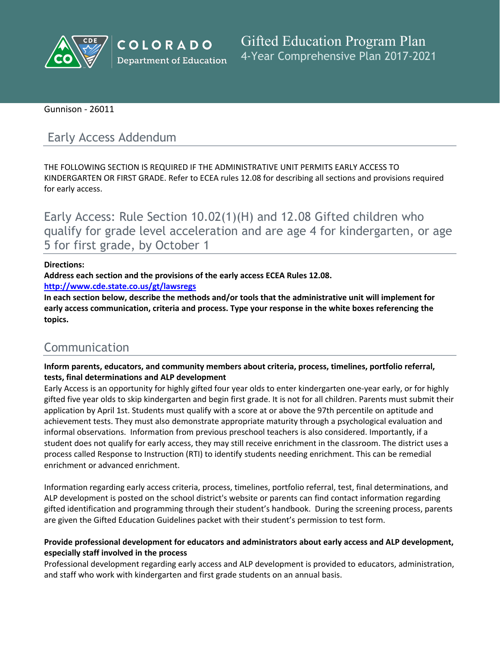

COLORADO **Department of Education** 

**Gifted Education Program Plan** 4-Year Comprehensive Plan 2017-2021

Gunnison - 26011

# Early Access Addendum

THE FOLLOWING SECTION IS REQUIRED IF THE ADMINISTRATIVE UNIT PERMITS EARLY ACCESS TO KINDERGARTEN OR FIRST GRADE. Refer to ECEA rules 12.08 for describing all sections and provisions required for early access.

Early Access: Rule Section 10.02(1)(H) and 12.08 Gifted children who qualify for grade level acceleration and are age 4 for kindergarten, or age 5 for first grade, by October 1

### **Directions:**

**Address each section and the provisions of the early access ECEA Rules 12.08.**

**<http://www.cde.state.co.us/gt/lawsregs>**

**In each section below, describe the methods and/or tools that the administrative unit will implement for early access communication, criteria and process. Type your response in the white boxes referencing the topics.**

# Communication

**Inform parents, educators, and community members about criteria, process, timelines, portfolio referral, tests, final determinations and ALP development**

Early Access is an opportunity for highly gifted four year olds to enter kindergarten one-year early, or for highly gifted five year olds to skip kindergarten and begin first grade. It is not for all children. Parents must submit their application by April 1st. Students must qualify with a score at or above the 97th percentile on aptitude and achievement tests. They must also demonstrate appropriate maturity through a psychological evaluation and informal observations. Information from previous preschool teachers is also considered. Importantly, if a student does not qualify for early access, they may still receive enrichment in the classroom. The district uses a process called Response to Instruction (RTI) to identify students needing enrichment. This can be remedial enrichment or advanced enrichment.

Information regarding early access criteria, process, timelines, portfolio referral, test, final determinations, and ALP development is posted on the school district's website or parents can find contact information regarding gifted identification and programming through their student's handbook. During the screening process, parents are given the Gifted Education Guidelines packet with their student's permission to test form.

### **Provide professional development for educators and administrators about early access and ALP development, especially staff involved in the process**

Professional development regarding early access and ALP development is provided to educators, administration, and staff who work with kindergarten and first grade students on an annual basis.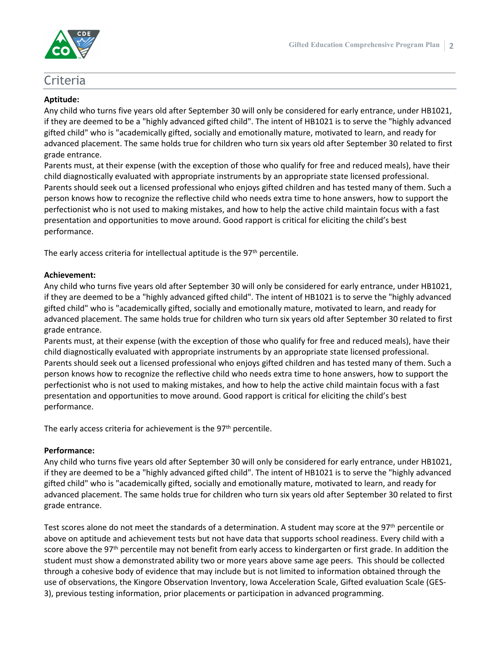

## Criteria

#### **Aptitude:**

Any child who turns five years old after September 30 will only be considered for early entrance, under HB1021, if they are deemed to be a "highly advanced gifted child". The intent of HB1021 is to serve the "highly advanced gifted child" who is "academically gifted, socially and emotionally mature, motivated to learn, and ready for advanced placement. The same holds true for children who turn six years old after September 30 related to first grade entrance.

Parents must, at their expense (with the exception of those who qualify for free and reduced meals), have their child diagnostically evaluated with appropriate instruments by an appropriate state licensed professional. Parents should seek out a licensed professional who enjoys gifted children and has tested many of them. Such a person knows how to recognize the reflective child who needs extra time to hone answers, how to support the perfectionist who is not used to making mistakes, and how to help the active child maintain focus with a fast presentation and opportunities to move around. Good rapport is critical for eliciting the child's best performance.

The early access criteria for intellectual aptitude is the 97<sup>th</sup> percentile.

#### **Achievement:**

Any child who turns five years old after September 30 will only be considered for early entrance, under HB1021, if they are deemed to be a "highly advanced gifted child". The intent of HB1021 is to serve the "highly advanced gifted child" who is "academically gifted, socially and emotionally mature, motivated to learn, and ready for advanced placement. The same holds true for children who turn six years old after September 30 related to first grade entrance.

Parents must, at their expense (with the exception of those who qualify for free and reduced meals), have their child diagnostically evaluated with appropriate instruments by an appropriate state licensed professional. Parents should seek out a licensed professional who enjoys gifted children and has tested many of them. Such a person knows how to recognize the reflective child who needs extra time to hone answers, how to support the perfectionist who is not used to making mistakes, and how to help the active child maintain focus with a fast presentation and opportunities to move around. Good rapport is critical for eliciting the child's best performance.

The early access criteria for achievement is the  $97<sup>th</sup>$  percentile.

#### **Performance:**

Any child who turns five years old after September 30 will only be considered for early entrance, under HB1021, if they are deemed to be a "highly advanced gifted child". The intent of HB1021 is to serve the "highly advanced gifted child" who is "academically gifted, socially and emotionally mature, motivated to learn, and ready for advanced placement. The same holds true for children who turn six years old after September 30 related to first grade entrance.

Test scores alone do not meet the standards of a determination. A student may score at the 97<sup>th</sup> percentile or above on aptitude and achievement tests but not have data that supports school readiness. Every child with a score above the 97<sup>th</sup> percentile may not benefit from early access to kindergarten or first grade. In addition the student must show a demonstrated ability two or more years above same age peers. This should be collected through a cohesive body of evidence that may include but is not limited to information obtained through the use of observations, the Kingore Observation Inventory, Iowa Acceleration Scale, Gifted evaluation Scale (GES-3), previous testing information, prior placements or participation in advanced programming.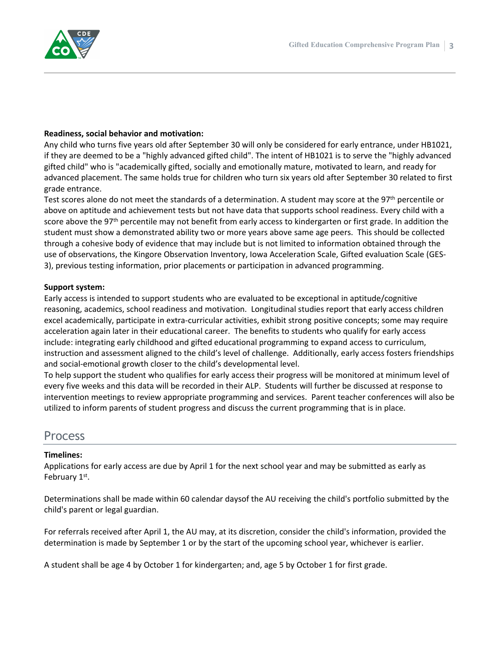

#### **Readiness, social behavior and motivation:**

Any child who turns five years old after September 30 will only be considered for early entrance, under HB1021, if they are deemed to be a "highly advanced gifted child". The intent of HB1021 is to serve the "highly advanced gifted child" who is "academically gifted, socially and emotionally mature, motivated to learn, and ready for advanced placement. The same holds true for children who turn six years old after September 30 related to first grade entrance.

Test scores alone do not meet the standards of a determination. A student may score at the 97<sup>th</sup> percentile or above on aptitude and achievement tests but not have data that supports school readiness. Every child with a score above the 97<sup>th</sup> percentile may not benefit from early access to kindergarten or first grade. In addition the student must show a demonstrated ability two or more years above same age peers. This should be collected through a cohesive body of evidence that may include but is not limited to information obtained through the use of observations, the Kingore Observation Inventory, Iowa Acceleration Scale, Gifted evaluation Scale (GES-3), previous testing information, prior placements or participation in advanced programming.

#### **Support system:**

Early access is intended to support students who are evaluated to be exceptional in aptitude/cognitive reasoning, academics, school readiness and motivation. Longitudinal studies report that early access children excel academically, participate in extra-curricular activities, exhibit strong positive concepts; some may require acceleration again later in their educational career. The benefits to students who qualify for early access include: integrating early childhood and gifted educational programming to expand access to curriculum, instruction and assessment aligned to the child's level of challenge. Additionally, early access fosters friendships and social-emotional growth closer to the child's developmental level.

To help support the student who qualifies for early access their progress will be monitored at minimum level of every five weeks and this data will be recorded in their ALP. Students will further be discussed at response to intervention meetings to review appropriate programming and services. Parent teacher conferences will also be utilized to inform parents of student progress and discuss the current programming that is in place.

# Process

#### **Timelines:**

Applications for early access are due by April 1 for the next school year and may be submitted as early as February 1st.

Determinations shall be made within 60 calendar daysof the AU receiving the child's portfolio submitted by the child's parent or legal guardian.

For referrals received after April 1, the AU may, at its discretion, consider the child's information, provided the determination is made by September 1 or by the start of the upcoming school year, whichever is earlier.

A student shall be age 4 by October 1 for kindergarten; and, age 5 by October 1 for first grade.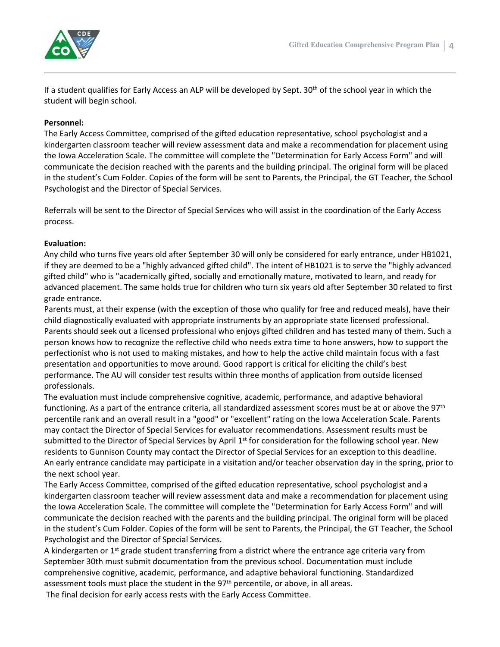

If a student qualifies for Early Access an ALP will be developed by Sept.  $30<sup>th</sup>$  of the school year in which the student will begin school.

#### **Personnel:**

The Early Access Committee, comprised of the gifted education representative, school psychologist and a kindergarten classroom teacher will review assessment data and make a recommendation for placement using the Iowa Acceleration Scale. The committee will complete the "Determination for Early Access Form" and will communicate the decision reached with the parents and the building principal. The original form will be placed in the student's Cum Folder. Copies of the form will be sent to Parents, the Principal, the GT Teacher, the School Psychologist and the Director of Special Services.

Referrals will be sent to the Director of Special Services who will assist in the coordination of the Early Access process.

#### **Evaluation:**

Any child who turns five years old after September 30 will only be considered for early entrance, under HB1021, if they are deemed to be a "highly advanced gifted child". The intent of HB1021 is to serve the "highly advanced gifted child" who is "academically gifted, socially and emotionally mature, motivated to learn, and ready for advanced placement. The same holds true for children who turn six years old after September 30 related to first grade entrance.

Parents must, at their expense (with the exception of those who qualify for free and reduced meals), have their child diagnostically evaluated with appropriate instruments by an appropriate state licensed professional. Parents should seek out a licensed professional who enjoys gifted children and has tested many of them. Such a person knows how to recognize the reflective child who needs extra time to hone answers, how to support the perfectionist who is not used to making mistakes, and how to help the active child maintain focus with a fast presentation and opportunities to move around. Good rapport is critical for eliciting the child's best performance. The AU will consider test results within three months of application from outside licensed professionals.

The evaluation must include comprehensive cognitive, academic, performance, and adaptive behavioral functioning. As a part of the entrance criteria, all standardized assessment scores must be at or above the 97<sup>th</sup> percentile rank and an overall result in a "good" or "excellent" rating on the Iowa Acceleration Scale. Parents may contact the Director of Special Services for evaluator recommendations. Assessment results must be submitted to the Director of Special Services by April 1<sup>st</sup> for consideration for the following school year. New residents to Gunnison County may contact the Director of Special Services for an exception to this deadline. An early entrance candidate may participate in a visitation and/or teacher observation day in the spring, prior to the next school year.

The Early Access Committee, comprised of the gifted education representative, school psychologist and a kindergarten classroom teacher will review assessment data and make a recommendation for placement using the Iowa Acceleration Scale. The committee will complete the "Determination for Early Access Form" and will communicate the decision reached with the parents and the building principal. The original form will be placed in the student's Cum Folder. Copies of the form will be sent to Parents, the Principal, the GT Teacher, the School Psychologist and the Director of Special Services.

A kindergarten or 1<sup>st</sup> grade student transferring from a district where the entrance age criteria vary from September 30th must submit documentation from the previous school. Documentation must include comprehensive cognitive, academic, performance, and adaptive behavioral functioning. Standardized assessment tools must place the student in the 97<sup>th</sup> percentile, or above, in all areas. The final decision for early access rests with the Early Access Committee.